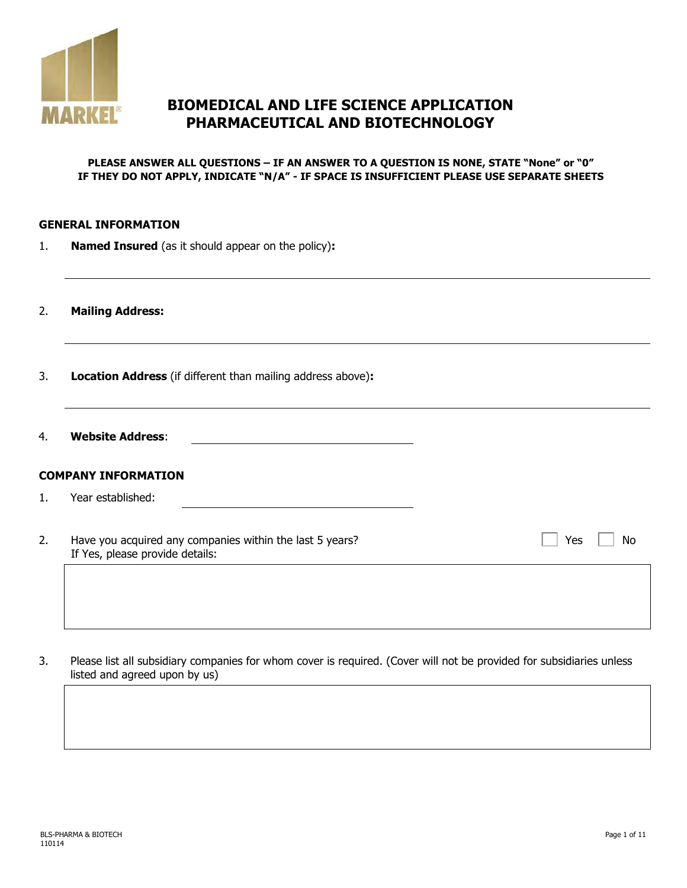

# **BIOMEDICAL AND LIFE SCIENCE APPLICATION PHARMACEUTICAL AND BIOTECHNOLOGY**

#### **PLEASE ANSWER ALL QUESTIONS – IF AN ANSWER TO A QUESTION IS NONE, STATE "None" or "0" IF THEY DO NOT APPLY, INDICATE "N/A" - IF SPACE IS INSUFFICIENT PLEASE USE SEPARATE SHEETS**

#### **GENERAL INFORMATION**

1. **Named Insured** (as it should appear on the policy)**:**

2. **Mailing Address:**

- 3. **Location Address** (if different than mailing address above)**:**
- 4. **Website Address**:

#### **COMPANY INFORMATION**

- 1. Year established:
- 2. Have you acquired any companies within the last 5 years? If Yes, please provide details:

 $Yes \Box No$ 

3. Please list all subsidiary companies for whom cover is required. (Cover will not be provided for subsidiaries unless listed and agreed upon by us)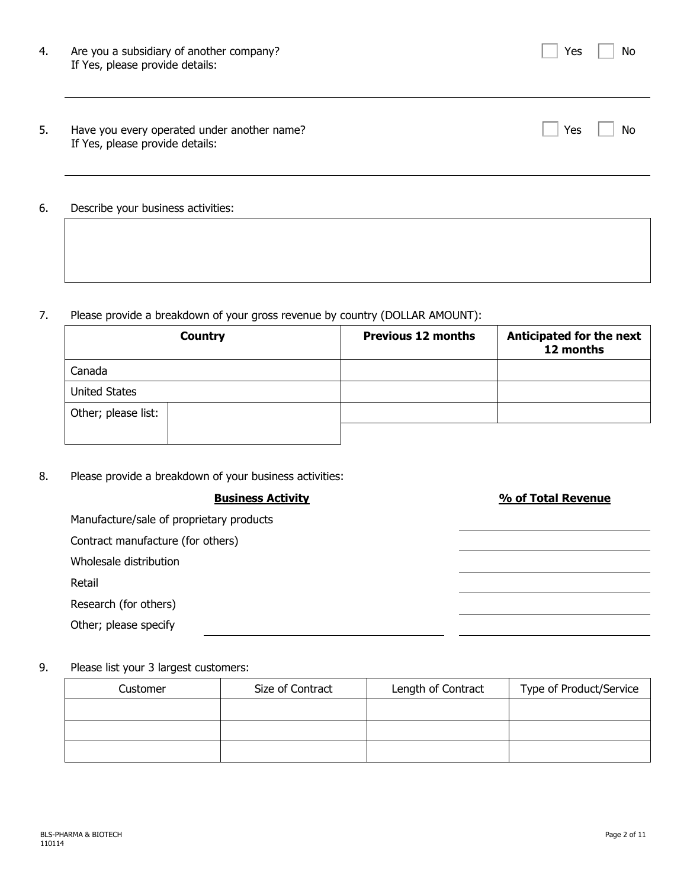| 4. | Are you a subsidiary of another company?<br>If Yes, please provide details:    | Yes | No |
|----|--------------------------------------------------------------------------------|-----|----|
| 5. | Have you every operated under another name?<br>If Yes, please provide details: | Yes | No |
| 6. | Describe your business activities:                                             |     |    |

## 7. Please provide a breakdown of your gross revenue by country (DOLLAR AMOUNT):

|                      | <b>Country</b> | <b>Previous 12 months</b> | Anticipated for the next<br>12 months |
|----------------------|----------------|---------------------------|---------------------------------------|
| Canada               |                |                           |                                       |
| <b>United States</b> |                |                           |                                       |
| Other; please list:  |                |                           |                                       |
|                      |                |                           |                                       |

## 8. Please provide a breakdown of your business activities:

| <b>Business Activity</b>                 | % of Total Revenue |
|------------------------------------------|--------------------|
| Manufacture/sale of proprietary products |                    |
| Contract manufacture (for others)        |                    |
| Wholesale distribution                   |                    |
| Retail                                   |                    |
| Research (for others)                    |                    |
| Other; please specify                    |                    |
|                                          |                    |

## 9. Please list your 3 largest customers:

| Customer | Size of Contract | Length of Contract | Type of Product/Service |  |
|----------|------------------|--------------------|-------------------------|--|
|          |                  |                    |                         |  |
|          |                  |                    |                         |  |
|          |                  |                    |                         |  |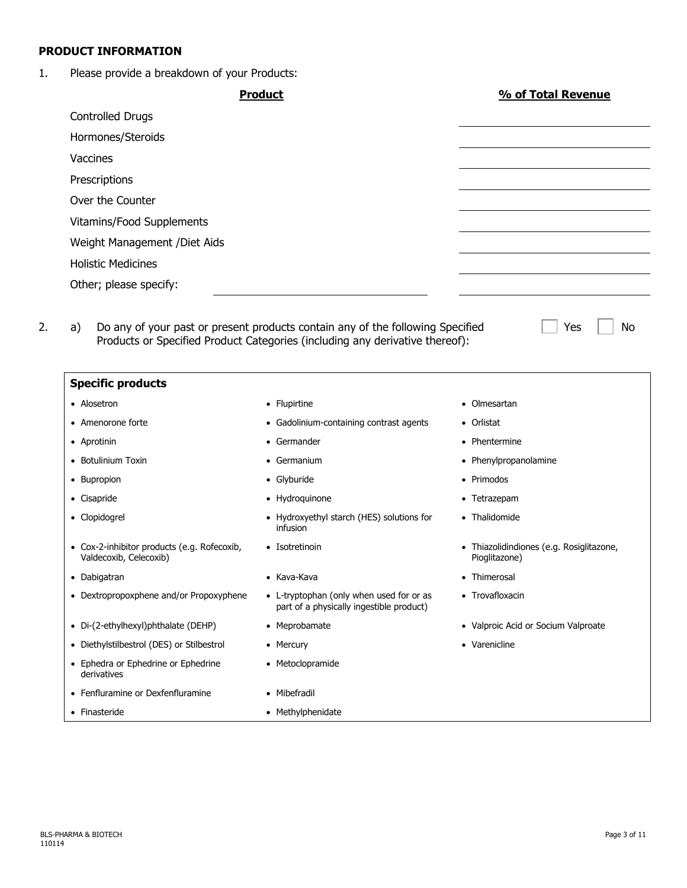### **PRODUCT INFORMATION**

## 1. Please provide a breakdown of your Products:

|                                                                       | <b>Product</b>                                                                       | % of Total Revenue                                        |  |
|-----------------------------------------------------------------------|--------------------------------------------------------------------------------------|-----------------------------------------------------------|--|
| <b>Controlled Drugs</b>                                               |                                                                                      |                                                           |  |
| Hormones/Steroids                                                     |                                                                                      |                                                           |  |
| Vaccines                                                              |                                                                                      |                                                           |  |
| Prescriptions                                                         |                                                                                      |                                                           |  |
| Over the Counter                                                      |                                                                                      |                                                           |  |
| Vitamins/Food Supplements                                             |                                                                                      |                                                           |  |
| Weight Management / Diet Aids                                         |                                                                                      |                                                           |  |
| <b>Holistic Medicines</b>                                             |                                                                                      |                                                           |  |
| Other; please specify:                                                |                                                                                      |                                                           |  |
|                                                                       | Products or Specified Product Categories (including any derivative thereof):         |                                                           |  |
| <b>Specific products</b>                                              |                                                                                      |                                                           |  |
| • Alosetron                                                           | • Flupirtine                                                                         | Olmesartan                                                |  |
| • Amenorone forte                                                     | • Gadolinium-containing contrast agents                                              | Orlistat                                                  |  |
| • Aprotinin<br>• Botulinium Toxin                                     | • Germander<br>• Germanium                                                           | • Phentermine<br>Phenylpropanolamine                      |  |
| • Bupropion                                                           | • Glyburide                                                                          | ٠<br>Primodos                                             |  |
| • Cisapride                                                           | • Hydroquinone                                                                       | • Tetrazepam                                              |  |
| • Clopidogrel                                                         | • Hydroxyethyl starch (HES) solutions for<br>infusion                                | • Thalidomide                                             |  |
| • Cox-2-inhibitor products (e.g. Rofecoxib,<br>Valdecoxib, Celecoxib) | • Isotretinoin                                                                       | • Thiazolidindiones (e.g. Rosiglitazone,<br>Pioglitazone) |  |
| • Dabigatran                                                          | • Kava-Kava                                                                          | • Thimerosal                                              |  |
| • Dextropropoxphene and/or Propoxyphene                               | • L-tryptophan (only when used for or as<br>part of a physically ingestible product) | • Trovafloxacin                                           |  |
| • Di-(2-ethylhexyl)phthalate (DEHP)                                   | • Meprobamate                                                                        | • Valproic Acid or Socium Valproate                       |  |
| • Diethylstilbestrol (DES) or Stilbestrol                             | • Mercury                                                                            | • Varenicline                                             |  |
| • Ephedra or Ephedrine or Ephedrine<br>derivatives                    | • Metoclopramide                                                                     |                                                           |  |
| • Fenfluramine or Dexfenfluramine                                     |                                                                                      |                                                           |  |
|                                                                       | • Mibefradil                                                                         |                                                           |  |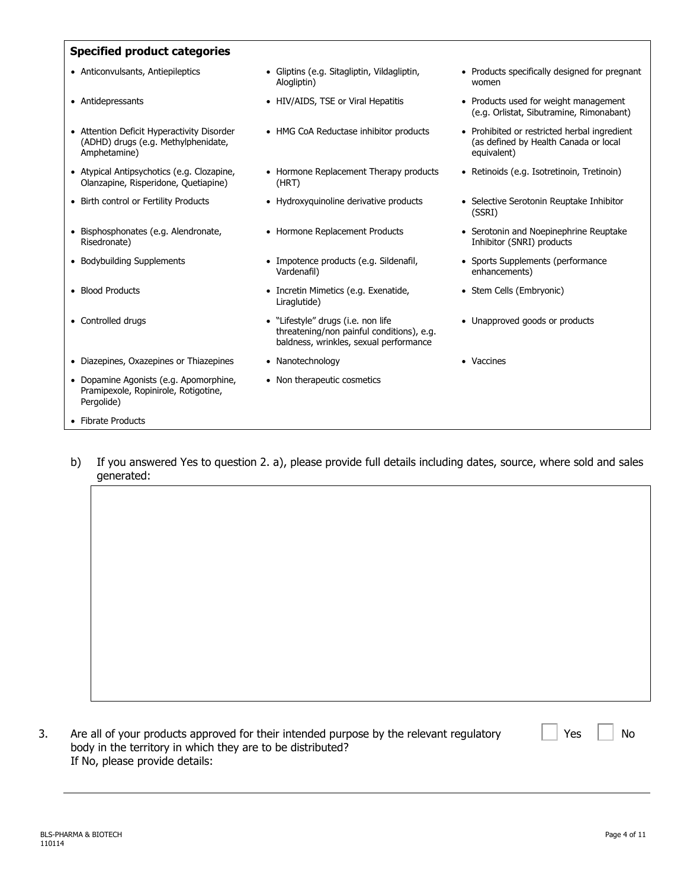#### **Specified product categories**

- 
- 
- Attention Deficit Hyperactivity Disorder (ADHD) drugs (e.g. Methylphenidate, Amphetamine)
- Atypical Antipsychotics (e.g. Clozapine, Olanzapine, Risperidone, Quetiapine)
- 
- Bisphosphonates (e.g. Alendronate, Risedronate)
- 
- 
- 
- Diazepines, Oxazepines or Thiazepines Nanotechnology vaccines Vaccines
- Dopamine Agonists (e.g. Apomorphine, Pramipexole, Ropinirole, Rotigotine, Pergolide)
- Fibrate Products
- Anticonvulsants, Antiepileptics Gliptins (e.g. Sitagliptin, Vildagliptin, Alogliptin)
	-
	-
	- Hormone Replacement Therapy products (HRT)
	-
	-
- Bodybuilding Supplements Impotence products (e.g. Sildenafil, Vardenafil)
- Blood Products Incretin Mimetics (e.g. Exenatide, Liraglutide)
- Controlled drugs  **Controlled drugs Transfer 10 million Transfer 10 million Transfer 10 million Transfer 10 million Transfer 10 million Transfer 10 million Transfer 10 million Transfer 10** threatening/non painful conditions), e.g. baldness, wrinkles, sexual performance
	-
	- Non therapeutic cosmetics
- Products specifically designed for pregnant women
- Antidepressants HIV/AIDS, TSE or Viral Hepatitis Products used for weight management (e.g. Orlistat, Sibutramine, Rimonabant)
	- HMG CoA Reductase inhibitor products Prohibited or restricted herbal ingredient (as defined by Health Canada or local equivalent)
		- Retinoids (e.g. Isotretinoin, Tretinoin)
- Birth control or Fertility Products Hydroxyquinoline derivative products Selective Serotonin Reuptake Inhibitor (SSRI)
	- Hormone Replacement Products Serotonin and Noepinephrine Reuptake Inhibitor (SNRI) products
		- Sports Supplements (performance enhancements)
		- Stem Cells (Embryonic)
		- Unapproved goods or products
		-

b) If you answered Yes to question 2. a), please provide full details including dates, source, where sold and sales generated:

| Are all of your products approved for their intended purpose by the relevant regulatory |
|-----------------------------------------------------------------------------------------|
| body in the territory in which they are to be distributed?                              |
| If No, please provide details:                                                          |

 $Yes \mid \mid No$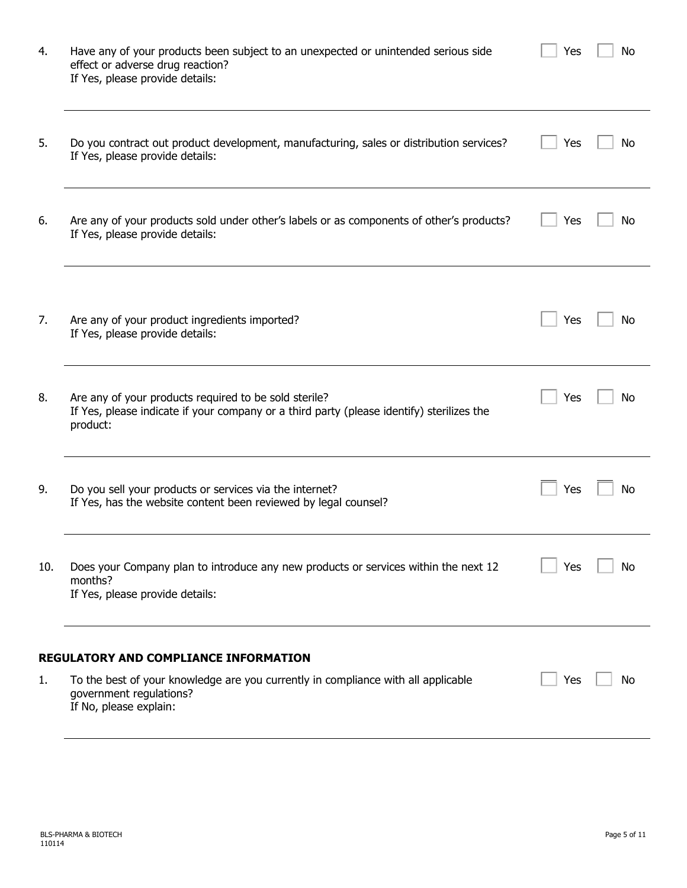| 4.  | Have any of your products been subject to an unexpected or unintended serious side<br>effect or adverse drug reaction?<br>If Yes, please provide details:                              | Yes | No |
|-----|----------------------------------------------------------------------------------------------------------------------------------------------------------------------------------------|-----|----|
| 5.  | Do you contract out product development, manufacturing, sales or distribution services?<br>If Yes, please provide details:                                                             | Yes | No |
| 6.  | Are any of your products sold under other's labels or as components of other's products?<br>If Yes, please provide details:                                                            | Yes | No |
| 7.  | Are any of your product ingredients imported?<br>If Yes, please provide details:                                                                                                       | Yes | No |
| 8.  | Are any of your products required to be sold sterile?<br>If Yes, please indicate if your company or a third party (please identify) sterilizes the<br>product:                         | Yes | No |
| 9.  | Do you sell your products or services via the internet?<br>If Yes, has the website content been reviewed by legal counsel?                                                             | Yes | Νo |
| 10. | Does your Company plan to introduce any new products or services within the next 12<br>months?<br>If Yes, please provide details:                                                      | Yes | No |
| 1.  | <b>REGULATORY AND COMPLIANCE INFORMATION</b><br>To the best of your knowledge are you currently in compliance with all applicable<br>government regulations?<br>If No, please explain: | Yes | Νo |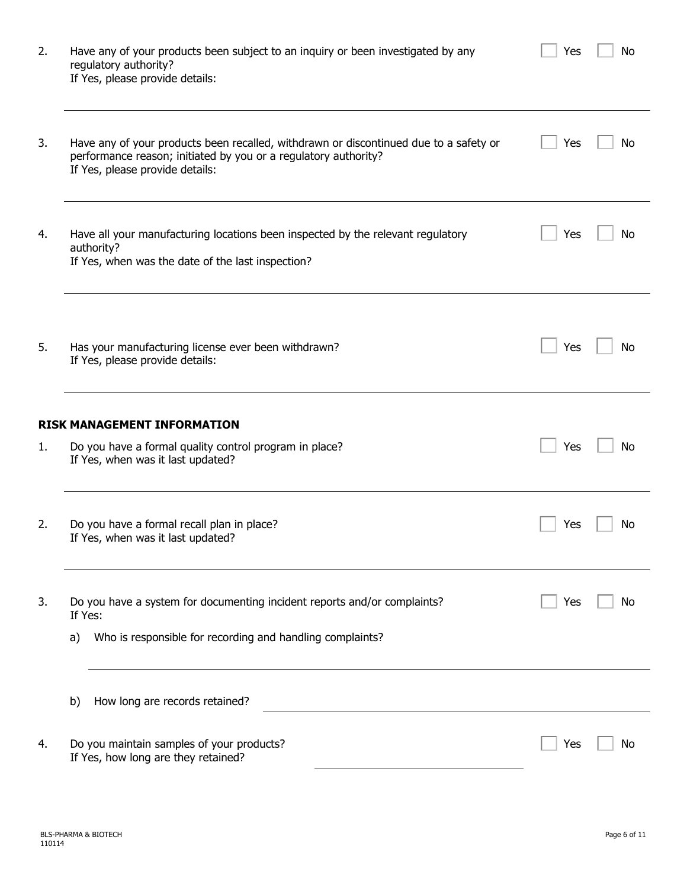| 2. | Have any of your products been subject to an inquiry or been investigated by any<br>regulatory authority?<br>If Yes, please provide details:                                                | Yes | No |
|----|---------------------------------------------------------------------------------------------------------------------------------------------------------------------------------------------|-----|----|
| 3. | Have any of your products been recalled, withdrawn or discontinued due to a safety or<br>performance reason; initiated by you or a regulatory authority?<br>If Yes, please provide details: | Yes | No |
| 4. | Have all your manufacturing locations been inspected by the relevant regulatory<br>authority?<br>If Yes, when was the date of the last inspection?                                          | Yes | No |
| 5. | Has your manufacturing license ever been withdrawn?<br>If Yes, please provide details:                                                                                                      | Yes | No |
|    | <b>RISK MANAGEMENT INFORMATION</b>                                                                                                                                                          |     |    |
| 1. | Do you have a formal quality control program in place?<br>If Yes, when was it last updated?                                                                                                 | Yes | No |
| 2. | Do you have a formal recall plan in place?<br>If Yes, when was it last updated?                                                                                                             | Yes | No |
| 3. | Do you have a system for documenting incident reports and/or complaints?<br>If Yes:                                                                                                         | Yes | No |
|    | Who is responsible for recording and handling complaints?<br>a)                                                                                                                             |     |    |
|    | How long are records retained?<br>b)                                                                                                                                                        |     |    |
| 4. | Do you maintain samples of your products?<br>If Yes, how long are they retained?                                                                                                            | Yes | Νo |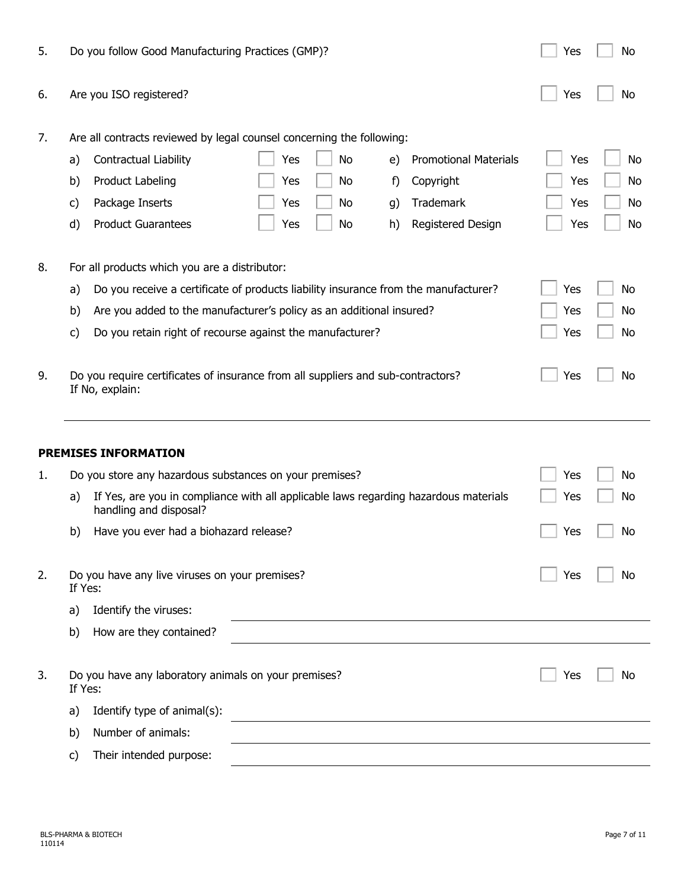| 5. | Do you follow Good Manufacturing Practices (GMP)?                                                                    | No<br>Yes        |
|----|----------------------------------------------------------------------------------------------------------------------|------------------|
| 6. | Are you ISO registered?                                                                                              | Yes<br>No        |
| 7. | Are all contracts reviewed by legal counsel concerning the following:                                                |                  |
|    | Contractual Liability<br>No<br><b>Promotional Materials</b><br>Yes<br>e)<br>a)                                       | Yes<br>No        |
|    | Product Labeling<br>Copyright<br>Yes<br>No<br>b)<br>f)                                                               | Yes<br>No        |
|    | Package Inserts<br>Trademark<br>Yes<br>No<br>g)<br>C)                                                                | Yes<br>No        |
|    | <b>Product Guarantees</b><br>Yes<br>No<br>Registered Design<br>d)<br>h)                                              | <b>No</b><br>Yes |
| 8. | For all products which you are a distributor:                                                                        |                  |
|    | Do you receive a certificate of products liability insurance from the manufacturer?<br>a)                            | Yes<br>No        |
|    | Are you added to the manufacturer's policy as an additional insured?<br>b)                                           | No<br>Yes        |
|    | Do you retain right of recourse against the manufacturer?<br>c)                                                      | Yes<br>No        |
| 9. | Do you require certificates of insurance from all suppliers and sub-contractors?<br>If No, explain:                  | No<br>Yes        |
|    | <b>PREMISES INFORMATION</b>                                                                                          |                  |
| 1. | Do you store any hazardous substances on your premises?                                                              | Yes<br>No        |
|    | If Yes, are you in compliance with all applicable laws regarding hazardous materials<br>a)<br>handling and disposal? | Yes<br>No        |
|    | Have you ever had a biohazard release?<br>b)                                                                         | No<br>Yes        |
| 2. | Do you have any live viruses on your premises?<br>If Yes:                                                            | No<br>Yes        |
|    | Identify the viruses:<br>a)                                                                                          |                  |
|    |                                                                                                                      |                  |
|    | How are they contained?<br>b)                                                                                        |                  |
| 3. | Do you have any laboratory animals on your premises?<br>If Yes:                                                      | Yes<br>No        |
|    | Identify type of animal(s):<br>a)                                                                                    |                  |
|    | Number of animals:<br>b)                                                                                             |                  |
|    | Their intended purpose:<br>C)                                                                                        |                  |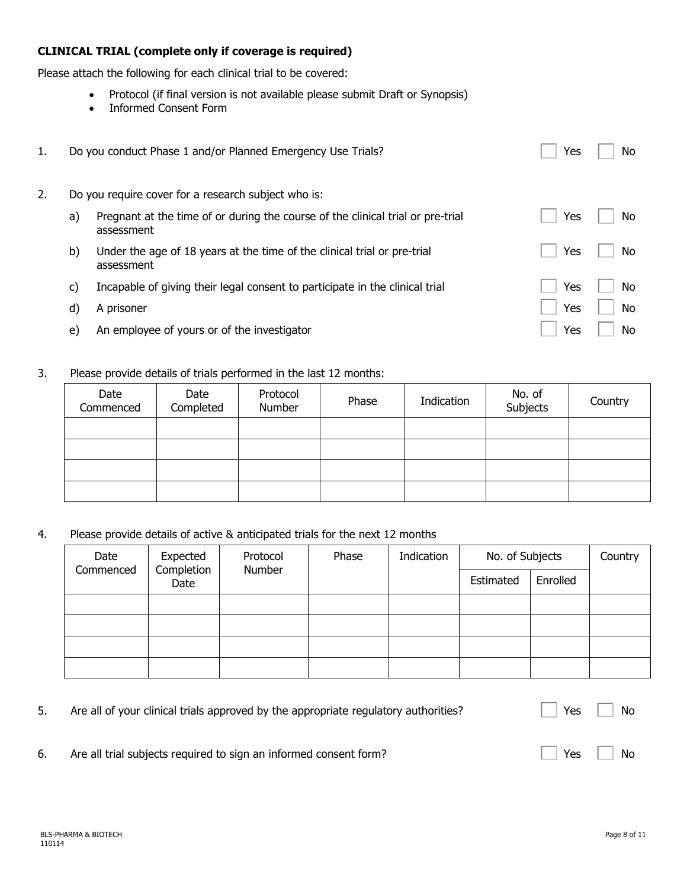## **CLINICAL TRIAL (complete only if coverage is required)**

Please attach the following for each clinical trial to be covered:

- Protocol (if final version is not available please submit Draft or Synopsis)
- Informed Consent Form

| 1. |    | Do you conduct Phase 1 and/or Planned Emergency Use Trials?                                   | Yes | No. |
|----|----|-----------------------------------------------------------------------------------------------|-----|-----|
| 2. |    | Do you require cover for a research subject who is:                                           |     |     |
|    | a) | Pregnant at the time of or during the course of the clinical trial or pre-trial<br>assessment | Yes | No. |
|    | b) | Under the age of 18 years at the time of the clinical trial or pre-trial<br>assessment        | Yes | No. |
|    | C) | Incapable of giving their legal consent to participate in the clinical trial                  | Yes | No. |
|    | d) | A prisoner                                                                                    | Yes | No  |
|    | e) | An employee of yours or of the investigator                                                   | Yes | No. |

## 3. Please provide details of trials performed in the last 12 months:

| Date<br>Commenced | Date<br>Completed | Protocol<br>Number | Phase | Indication | No. of<br>Subjects | Country |
|-------------------|-------------------|--------------------|-------|------------|--------------------|---------|
|                   |                   |                    |       |            |                    |         |
|                   |                   |                    |       |            |                    |         |
|                   |                   |                    |       |            |                    |         |
|                   |                   |                    |       |            |                    |         |

4. Please provide details of active & anticipated trials for the next 12 months

| Date<br>Commenced | Expected<br>Completion<br>Date |  | Protocol<br>Number | Phase | Indication | No. of Subjects |  | Country |
|-------------------|--------------------------------|--|--------------------|-------|------------|-----------------|--|---------|
|                   |                                |  |                    |       | Estimated  | Enrolled        |  |         |
|                   |                                |  |                    |       |            |                 |  |         |
|                   |                                |  |                    |       |            |                 |  |         |
|                   |                                |  |                    |       |            |                 |  |         |
|                   |                                |  |                    |       |            |                 |  |         |

|    | Are all of your clinical trials approved by the appropriate regulatory authorities? | Yes   No                                                 |
|----|-------------------------------------------------------------------------------------|----------------------------------------------------------|
| 6. | Are all trial subjects required to sign an informed consent form?                   | $\overline{\phantom{a}}$ Yes $\overline{\phantom{a}}$ No |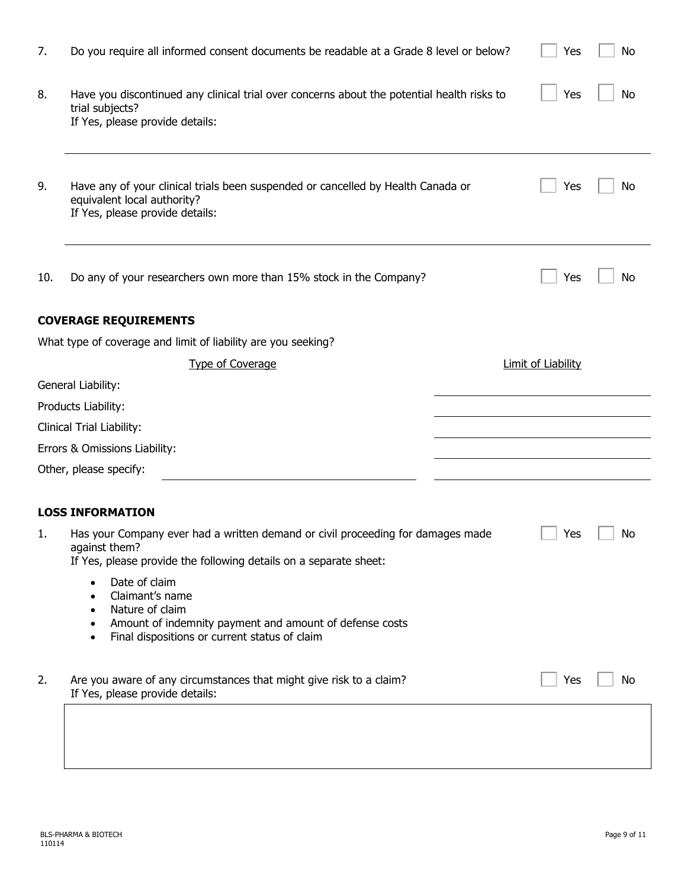| 7.                            | Do you require all informed consent documents be readable at a Grade 8 level or below?                                                                                                                      |  | Yes                       | No |  |  |  |  |
|-------------------------------|-------------------------------------------------------------------------------------------------------------------------------------------------------------------------------------------------------------|--|---------------------------|----|--|--|--|--|
| 8.                            | Have you discontinued any clinical trial over concerns about the potential health risks to<br>trial subjects?<br>If Yes, please provide details:                                                            |  | Yes                       | No |  |  |  |  |
| 9.                            | Have any of your clinical trials been suspended or cancelled by Health Canada or<br>equivalent local authority?<br>If Yes, please provide details:                                                          |  | Yes                       | No |  |  |  |  |
| 10.                           | Do any of your researchers own more than 15% stock in the Company?                                                                                                                                          |  | Yes                       | No |  |  |  |  |
| <b>COVERAGE REQUIREMENTS</b>  |                                                                                                                                                                                                             |  |                           |    |  |  |  |  |
|                               | What type of coverage and limit of liability are you seeking?                                                                                                                                               |  |                           |    |  |  |  |  |
|                               | <b>Type of Coverage</b>                                                                                                                                                                                     |  | <b>Limit of Liability</b> |    |  |  |  |  |
|                               | General Liability:                                                                                                                                                                                          |  |                           |    |  |  |  |  |
|                               | Products Liability:                                                                                                                                                                                         |  |                           |    |  |  |  |  |
|                               | Clinical Trial Liability:                                                                                                                                                                                   |  |                           |    |  |  |  |  |
| Errors & Omissions Liability: |                                                                                                                                                                                                             |  |                           |    |  |  |  |  |
| Other, please specify:        |                                                                                                                                                                                                             |  |                           |    |  |  |  |  |
|                               | <b>LOSS INFORMATION</b>                                                                                                                                                                                     |  |                           |    |  |  |  |  |
| ı.                            | Has your Company ever had a written demand or civil proceeding for damages made<br>against them?<br>If Yes, please provide the following details on a separate sheet:                                       |  | Yes                       | No |  |  |  |  |
|                               | Date of claim<br>Claimant's name<br>$\bullet$<br>Nature of claim<br>٠<br>Amount of indemnity payment and amount of defense costs<br>$\bullet$<br>Final dispositions or current status of claim<br>$\bullet$ |  |                           |    |  |  |  |  |
| 2.                            | Are you aware of any circumstances that might give risk to a claim?<br>If Yes, please provide details:                                                                                                      |  | Yes                       | No |  |  |  |  |
|                               |                                                                                                                                                                                                             |  |                           |    |  |  |  |  |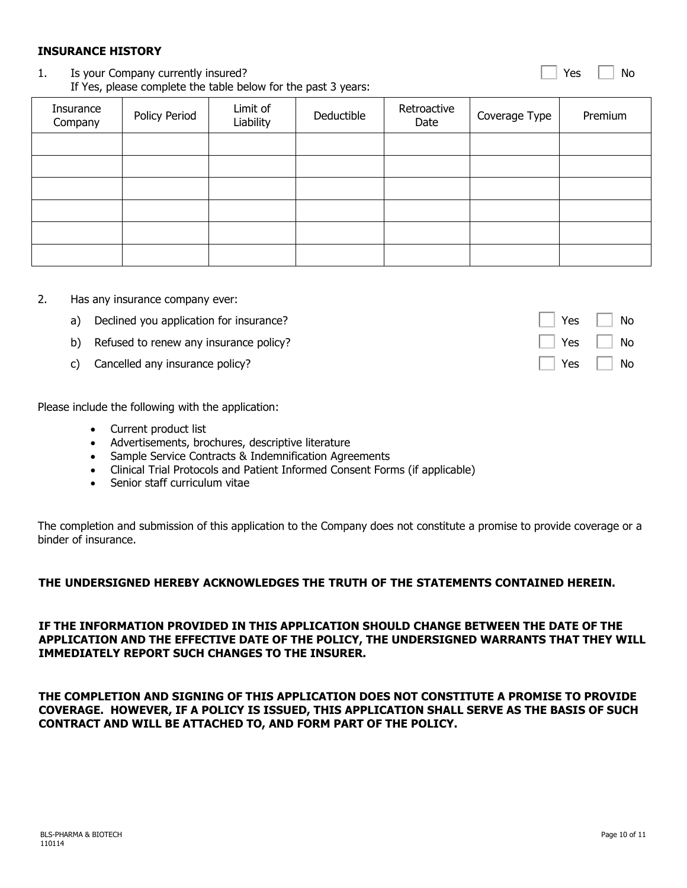110114

## **INSURANCE HISTORY**

## 1. Is your Company currently insured? If Yes, please complete the table below for the past 3 years:

# Insurance Insurance Policy Period Limit of Company Deductible Retroactive Coverage Type | Premium

- 2. Has any insurance company ever:
	- a) Declined you application for insurance? No was not all the No was not all the No was not all the No was not all the No was not all the No was not all the No was not all the No was not all the No was not all the No was n
	- b) Refused to renew any insurance policy?
	- c) Cancelled any insurance policy?

Please include the following with the application:

- Current product list
- Advertisements, brochures, descriptive literature
- Sample Service Contracts & Indemnification Agreements
- Clinical Trial Protocols and Patient Informed Consent Forms (if applicable)
- Senior staff curriculum vitae

The completion and submission of this application to the Company does not constitute a promise to provide coverage or a binder of insurance.

# **THE UNDERSIGNED HEREBY ACKNOWLEDGES THE TRUTH OF THE STATEMENTS CONTAINED HEREIN.**

**IF THE INFORMATION PROVIDED IN THIS APPLICATION SHOULD CHANGE BETWEEN THE DATE OF THE APPLICATION AND THE EFFECTIVE DATE OF THE POLICY, THE UNDERSIGNED WARRANTS THAT THEY WILL IMMEDIATELY REPORT SUCH CHANGES TO THE INSURER.**

**THE COMPLETION AND SIGNING OF THIS APPLICATION DOES NOT CONSTITUTE A PROMISE TO PROVIDE COVERAGE. HOWEVER, IF A POLICY IS ISSUED, THIS APPLICATION SHALL SERVE AS THE BASIS OF SUCH CONTRACT AND WILL BE ATTACHED TO, AND FORM PART OF THE POLICY.**



| Yes | No |
|-----|----|
| Yes | No |

Yes  $\Box$  No